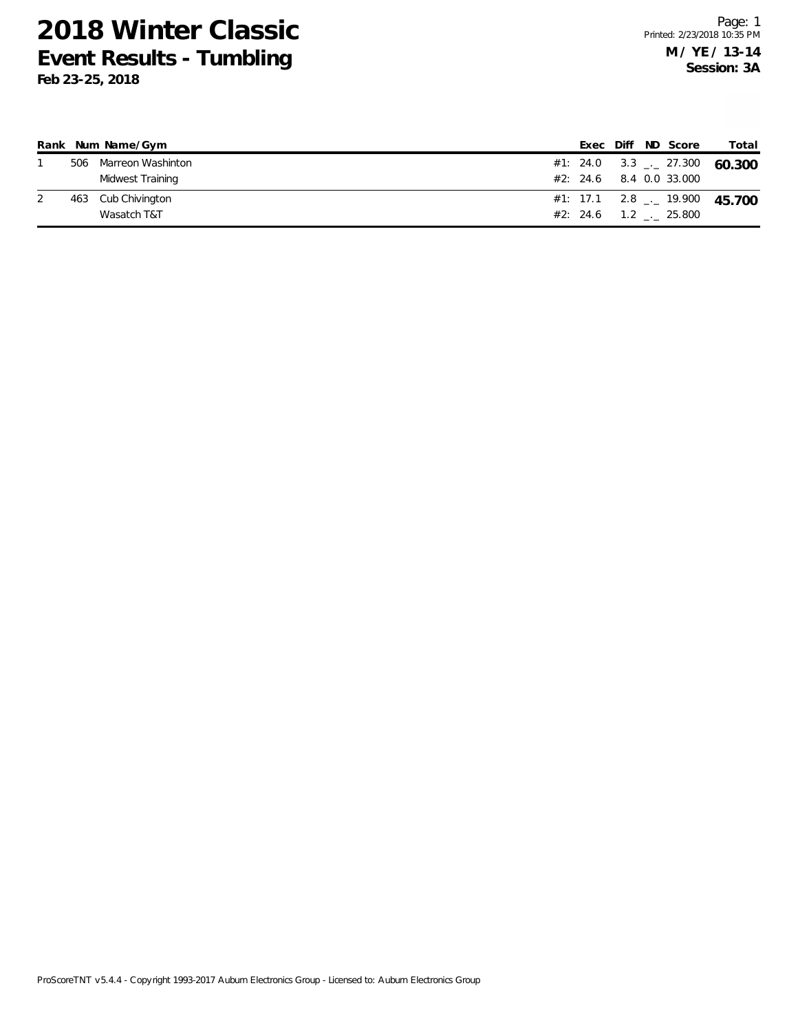|  | Rank Num Name/Gym     |  |  | Exec Diff ND Score         | Total                          |
|--|-----------------------|--|--|----------------------------|--------------------------------|
|  | 506 Marreon Washinton |  |  |                            | #1: 24.0 3.3 $-27.300$ 60.300  |
|  | Midwest Training      |  |  | $#2$ : 24.6 8.4 0.0 33.000 |                                |
|  | 463 Cub Chivington    |  |  |                            | #1: 17.1 2.8 $-$ 19.900 45.700 |
|  | Wasatch T&T           |  |  | $#2: 24.6$ 1.2 . 25.800    |                                |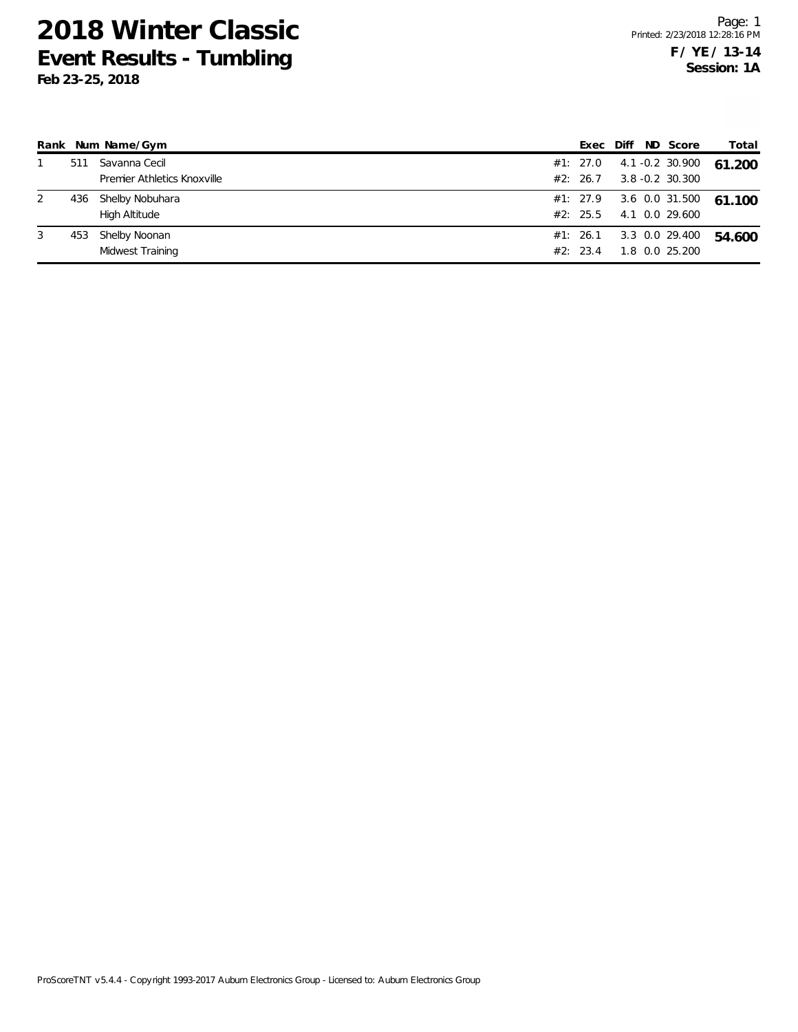|   |     | Rank Num Name/Gym           |          |  | Exec Diff ND Score         | Total  |
|---|-----|-----------------------------|----------|--|----------------------------|--------|
|   | 511 | Savanna Cecil               |          |  | $#1: 27.0 4.1 -0.2 30.900$ | 61.200 |
|   |     | Premier Athletics Knoxville | #2: 26.7 |  | $3.8 - 0.2$ 30.300         |        |
| 2 | 436 | Shelby Nobuhara             |          |  | #1: 27.9 3.6 0.0 31.500    | 61.100 |
|   |     | High Altitude               | #2: 25.5 |  | 4.1 0.0 29.600             |        |
| 3 | 453 | Shelby Noonan               | #1: 26.1 |  | 3.3 0.0 29.400             | 54.600 |
|   |     | Midwest Training            | #2: 23.4 |  | 1.8 0.0 25.200             |        |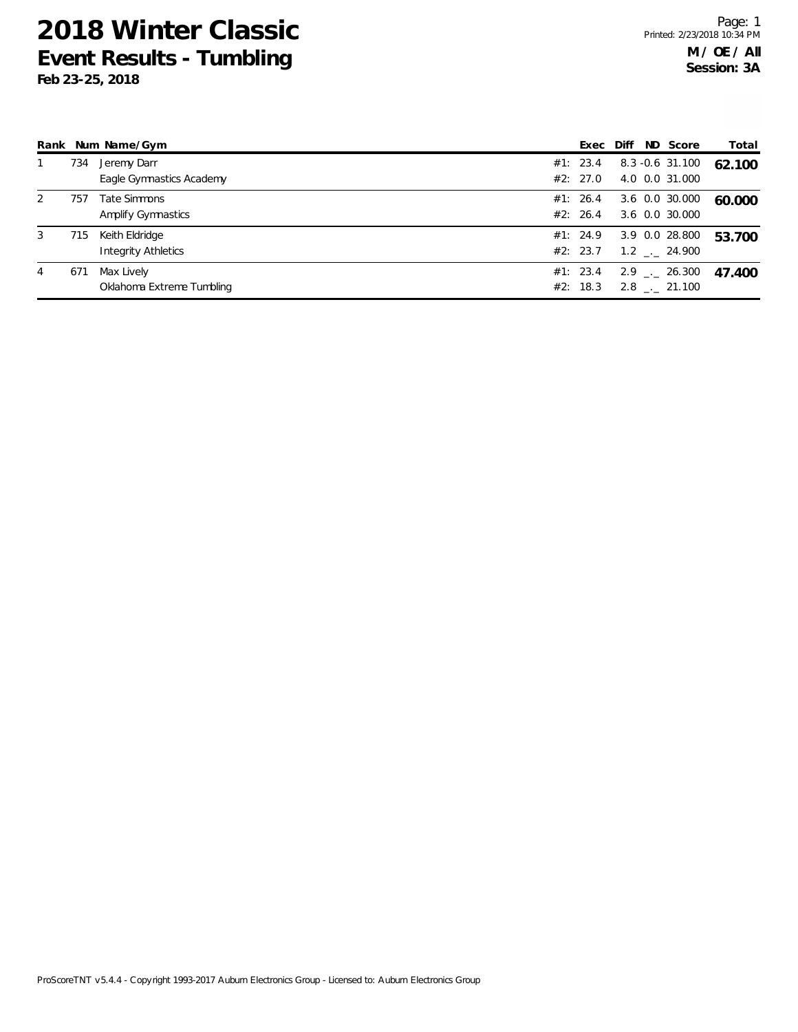|   |     | Rank Num Name/Gym          |          |  | Exec Diff ND Score           | Total  |
|---|-----|----------------------------|----------|--|------------------------------|--------|
|   | 734 | Jeremy Darr                | #1: 23.4 |  | 8.3 -0.6 31.100              | 62.100 |
|   |     | Eagle Gymnastics Academy   | #2: 27.0 |  | 4.0 0.0 31.000               |        |
| 2 | 757 | Tate Simmons               | #1: 26.4 |  | 3.6 0.0 30.000               | 60.000 |
|   |     | Amplify Gymnastics         | #2: 26.4 |  | 3.6 0.0 30.000               |        |
| 3 | 715 | Keith Eldridge             | #1: 24.9 |  | 3.9 0.0 28.800               | 53.700 |
|   |     | <b>Integrity Athletics</b> | #2: 23.7 |  | $1.2$ $_{\leftarrow}$ 24.900 |        |
| 4 | 671 | Max Lively                 | #1: 23.4 |  | $2.9$ $_{\leftarrow}$ 26.300 | 47.400 |
|   |     | Oklahoma Extreme Tumbling  | #2: 18.3 |  | $2.8$ $_{\leftarrow}$ 21.100 |        |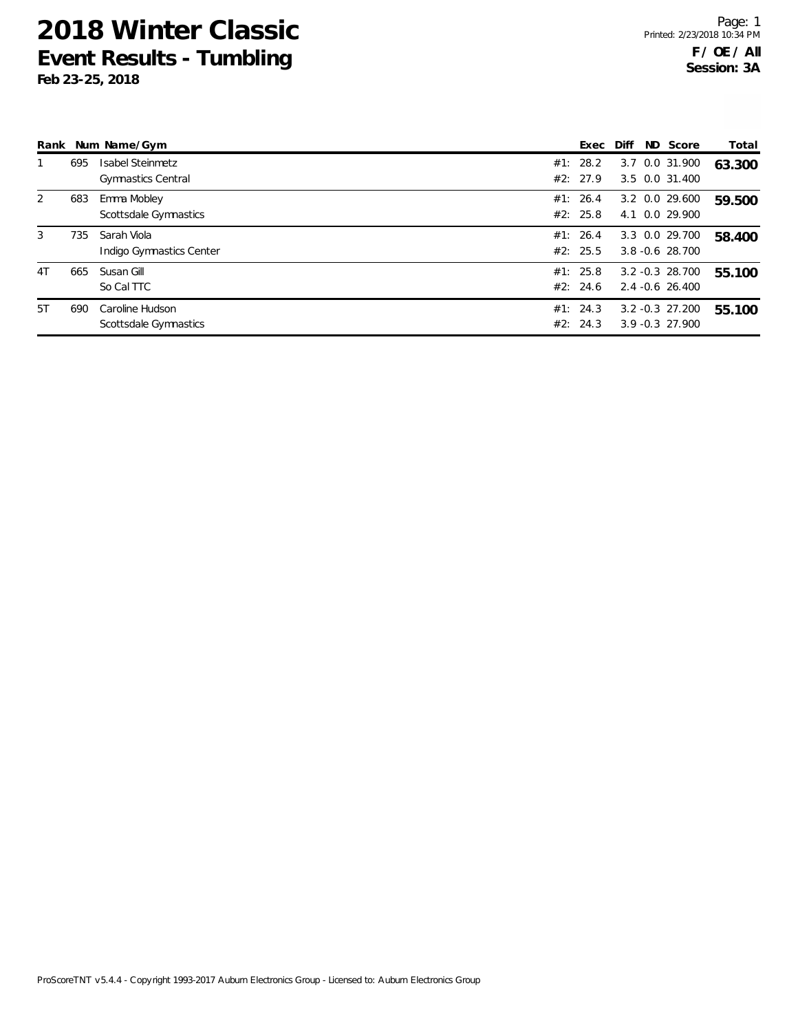|    |     | Rank Num Name/Gym                                    | Exec                 | Diff | ND Score                                 | Total  |
|----|-----|------------------------------------------------------|----------------------|------|------------------------------------------|--------|
|    | 695 | <b>Isabel Steinmetz</b><br><b>Gymnastics Central</b> | #1: 28.2<br>#2: 27.9 |      | 3.7 0.0 31.900<br>3.5 0.0 31.400         | 63.300 |
| 2  | 683 | Emma Mobley<br>Scottsdale Gymnastics                 | #1: 26.4<br>#2: 25.8 |      | 3.2 0.0 29.600<br>4.1 0.0 29.900         | 59.500 |
| 3  | 735 | Sarah Viola<br>Indigo Gymnastics Center              | #1: 26.4<br>#2: 25.5 |      | 3.3 0.0 29.700<br>$3.8 - 0.6$ 28.700     | 58.400 |
| 4T | 665 | Susan Gill<br>So Cal TTC                             | #1: 25.8<br>#2: 24.6 |      | $3.2 -0.3$ 28.700<br>$2.4 - 0.6$ 26.400  | 55.100 |
| 5T | 690 | Caroline Hudson<br>Scottsdale Gymnastics             | #1: 24.3<br>#2: 24.3 |      | $3.2 - 0.3$ 27.200<br>$3.9 - 0.3$ 27.900 | 55.100 |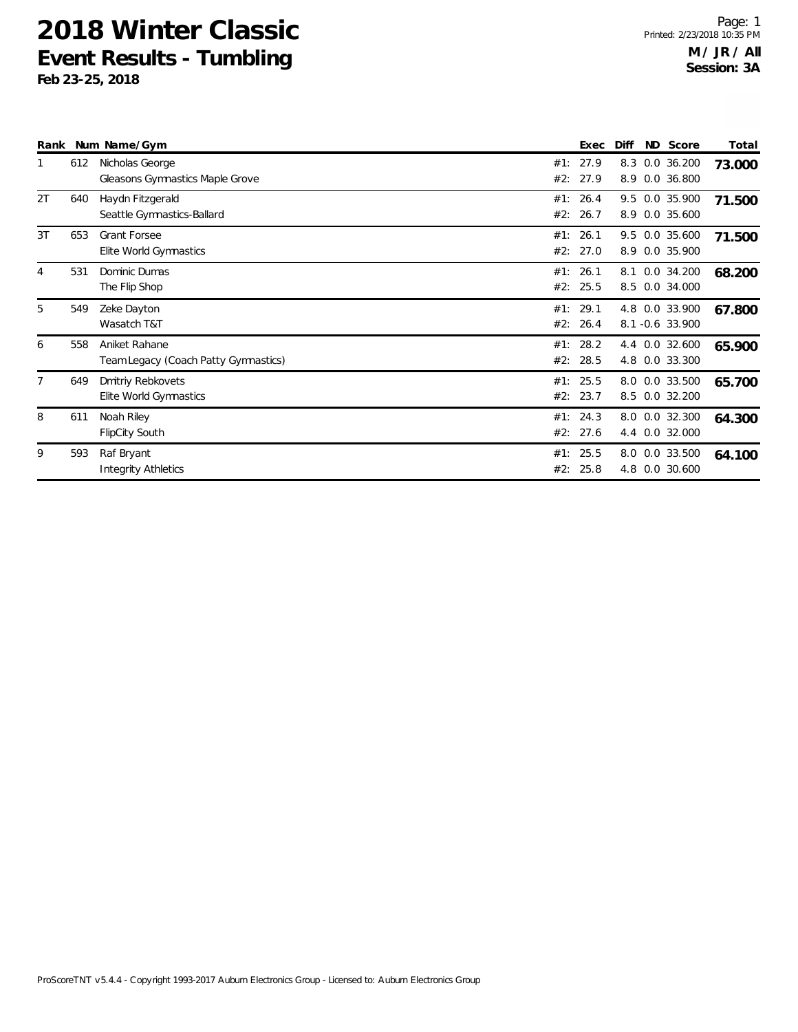|                |     | Rank Num Name/Gym                                     |            | Exec                 | Diff       | ND Score                          | Total  |
|----------------|-----|-------------------------------------------------------|------------|----------------------|------------|-----------------------------------|--------|
|                | 612 | Nicholas George<br>Gleasons Gymnastics Maple Grove    | #1:<br>#2: | 27.9<br>27.9         | 8.3<br>8.9 | $0.0$ 36.200<br>0.0 36.800        | 73.000 |
| 2T             | 640 | Haydn Fitzgerald<br>Seattle Gymnastics-Ballard        | #1:<br>#2: | 26.4<br>26.7         | 8.9        | 9.5 0.0 35.900<br>0.0 35.600      | 71.500 |
| 3T             | 653 | <b>Grant Forsee</b><br>Elite World Gymnastics         | #1:        | 26.1<br>#2: 27.0     | 8.9        | 9.5 0.0 35.600<br>0.0 35.900      | 71.500 |
| $\overline{4}$ | 531 | Dominic Dumas<br>The Flip Shop                        | #1:        | 26.1<br>#2: 25.5     | 8.1<br>8.5 | 0.0 34.200<br>0.0 34.000          | 68.200 |
| 5              | 549 | Zeke Dayton<br>Wasatch T&T                            | #1:        | 29.1<br>#2: 26.4     |            | 4.8 0.0 33.900<br>8.1 -0.6 33.900 | 67.800 |
| 6              | 558 | Aniket Rahane<br>Team Legacy (Coach Patty Gymnastics) | #1:        | 28.2<br>#2: 28.5     | 4.8        | 4.4 0.0 32.600<br>0.0 33.300      | 65.900 |
| 7              | 649 | <b>Dmitriy Rebkovets</b><br>Elite World Gymnastics    |            | #1: 25.5<br>#2: 23.7 | 8.5        | 8.0 0.0 33.500<br>$0.0$ 32.200    | 65.700 |
| 8              | 611 | Noah Riley<br><b>FlipCity South</b>                   |            | #1: 24.3<br>#2: 27.6 |            | 8.0 0.0 32.300<br>4.4 0.0 32.000  | 64.300 |
| 9              | 593 | Raf Bryant<br><b>Integrity Athletics</b>              | #1:<br>#2: | 25.5<br>25.8         | 4.8        | 8.0 0.0 33.500<br>0.0 30.600      | 64.100 |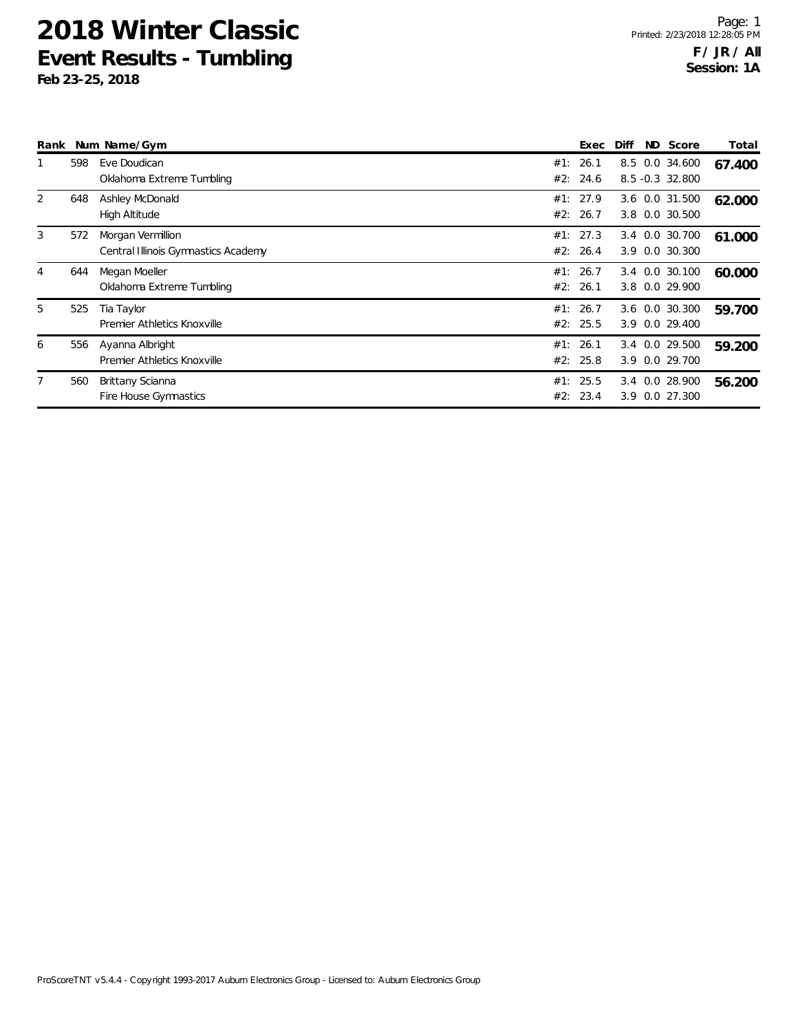| Rank |     | Num Name/Gym                                             |     | Exec                 | Diff                              | ND Score                         | Total  |
|------|-----|----------------------------------------------------------|-----|----------------------|-----------------------------------|----------------------------------|--------|
|      | 598 | Eve Doudican<br>Oklahoma Extreme Tumbling                | #1: | 26.1<br>#2: 24.6     | 8.5 0.0 34.600<br>8.5 -0.3 32.800 |                                  | 67.400 |
| 2    | 648 | Ashley McDonald<br>High Altitude                         |     | #1: 27.9<br>#2: 26.7 | 3.8                               | 3.6 0.0 31.500<br>0.0 30.500     | 62.000 |
| 3    | 572 | Morgan Vermillion<br>Central Illinois Gymnastics Academy |     | #1: 27.3<br>#2: 26.4 | 3.4 0.0 30.700<br>3.9 0.0 30.300  |                                  | 61.000 |
| 4    | 644 | Megan Moeller<br>Oklahoma Extreme Tumbling               | #1: | 26.7<br>#2: 26.1     |                                   | 3.4 0.0 30.100<br>3.8 0.0 29.900 | 60.000 |
| 5    | 525 | Tia Taylor<br>Premier Athletics Knoxville                |     | #1: 26.7<br>#2: 25.5 | 3.6 0.0 30.300<br>3.9 0.0 29.400  |                                  | 59.700 |
| 6    | 556 | Ayanna Albright<br>Premier Athletics Knoxville           |     | #1: 26.1<br>#2: 25.8 | 3.4 0.0 29.500<br>3.9 0.0 29.700  |                                  | 59.200 |
| 7    | 560 | Brittany Scianna<br>Fire House Gymnastics                |     | #1: 25.5<br>#2: 23.4 | 3.4 0.0 28.900<br>3.9 0.0 27.300  |                                  | 56.200 |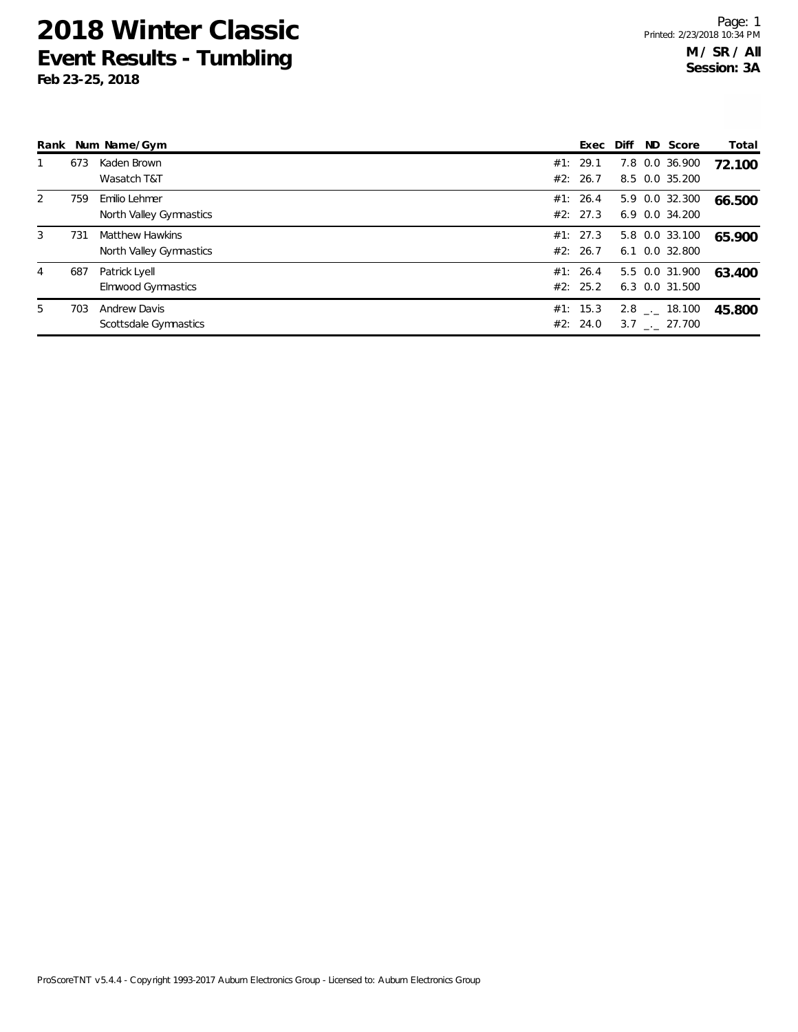|   |     | Rank Num Name/Gym                                 | Exec                 | Diff | ND Score                            | Total  |
|---|-----|---------------------------------------------------|----------------------|------|-------------------------------------|--------|
|   | 673 | Kaden Brown<br>Wasatch T&T                        | #1: 29.1<br>#2: 26.7 |      | 7.8 0.0 36.900<br>8.5 0.0 35.200    | 72.100 |
| 2 | 759 | Emilio Lehmer<br>North Valley Gymnastics          | #1: 26.4<br>#2: 27.3 |      | 5.9 0.0 32.300<br>$6.9$ 0.0 34.200  | 66.500 |
| 3 | 731 | <b>Matthew Hawkins</b><br>North Valley Gymnastics | #1: 27.3<br>#2: 26.7 |      | 5.8 0.0 33.100<br>6.1 0.0 32.800    | 65.900 |
| 4 | 687 | Patrick Lyell<br>Elmwood Gymnastics               | #1: 26.4<br>#2: 25.2 |      | 5.5 0.0 31.900<br>6.3 0.0 31.500    | 63.400 |
| 5 | 703 | <b>Andrew Davis</b><br>Scottsdale Gymnastics      | #1: 15.3<br>#2: 24.0 |      | $2.8$ $_{-}$ 18.100<br>3.7 . 27.700 | 45.800 |